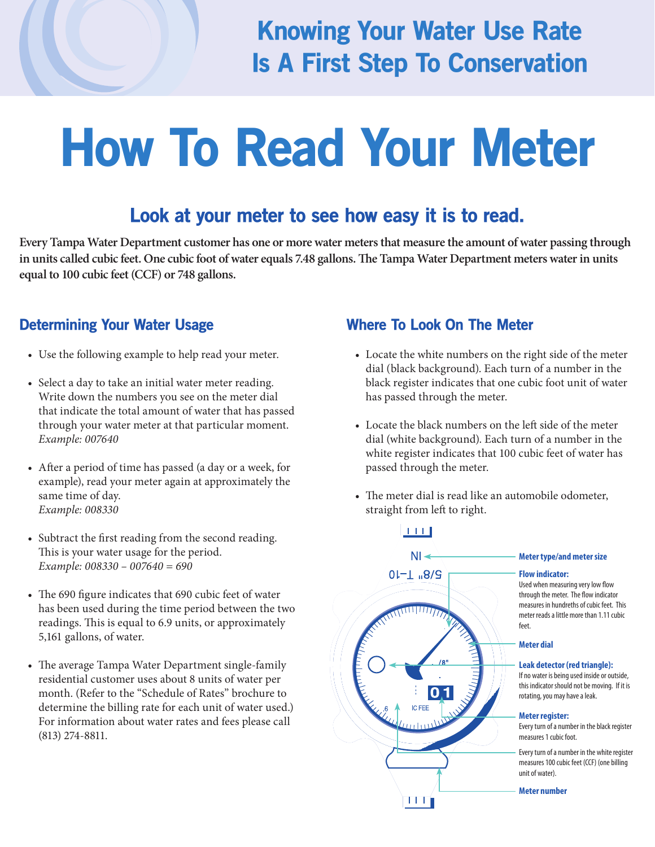### Knowing Your Water Use Rate Is A First Step To Conservation

# How To Read Your Meter

#### Look at your meter to see how easy it is to read.

 **Every Tampa Water Department customer has one or more water meters that measure the amount of water passing through**  in units called cubic feet. One cubic foot of water equals 7.48 gallons. The Tampa Water Department meters water in units  **equal to 100 cubic feet (CCF) or 748 gallons.** 

#### Determining Your Water Usage

- Use the following example to help read your meter.
- Select a day to take an initial water meter reading. Write down the numbers you see on the meter dial that indicate the total amount of water that has passed through your water meter at that particular moment. *Example: 007640*
- After a period of time has passed (a day or a week, for example), read your meter again at approximately the same time of day. *Example: 008330*
- Subtract the first reading from the second reading. This is your water usage for the period. *Example: 008330 – 007640 = 690*
- The 690 figure indicates that 690 cubic feet of water has been used during the time period between the two readings. This is equal to 6.9 units, or approximately 5,161 gallons, of water.
- The average Tampa Water Department single-family residential customer uses about 8 units of water per month. (Refer to the "Schedule of Rates" brochure to determine the billing rate for each unit of water used.) For information about water rates and fees please call (813) 274-8811.

#### Where To Look On The Meter

- Locate the white numbers on the right side of the meter dial (black background). Each turn of a number in the black register indicates that one cubic foot unit of water has passed through the meter.
- Locate the black numbers on the left side of the meter dial (white background). Each turn of a number in the white register indicates that 100 cubic feet of water has passed through the meter.
- The meter dial is read like an automobile odometer, straight from left to right.